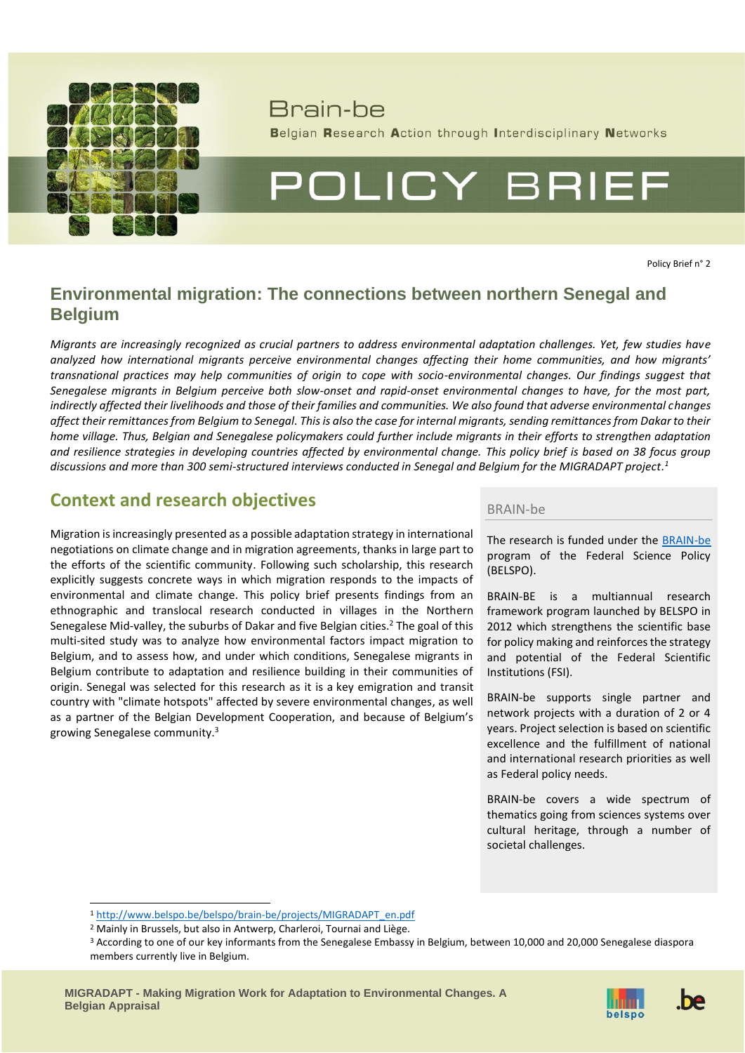

## Brain-he

Belgian Research Action through Interdisciplinary Networks

# POLICY BRIEF

Policy Brief n° 2

## **Environmental migration: The connections between northern Senegal and Belgium**

*Migrants are increasingly recognized as crucial partners to address environmental adaptation challenges. Yet, few studies have analyzed how international migrants perceive environmental changes affecting their home communities, and how migrants' transnational practices may help communities of origin to cope with socio-environmental changes. Our findings suggest that Senegalese migrants in Belgium perceive both slow-onset and rapid-onset environmental changes to have, for the most part, indirectly affected their livelihoods and those of their families and communities. We also found that adverse environmental changes affect their remittances from Belgium to Senegal. This is also the case for internal migrants, sending remittances from Dakar to their home village. Thus, Belgian and Senegalese policymakers could further include migrants in their efforts to strengthen adaptation and resilience strategies in developing countries affected by environmental change. This policy brief is based on 38 focus group discussions and more than 300 semi-structured interviews conducted in Senegal and Belgium for the MIGRADAPT project. 1*

## **Context and research objectives** BRAIN-be

Migration is increasingly presented as a possible adaptation strategy in international negotiations on climate change and in migration agreements, thanks in large part to the efforts of the scientific community. Following such scholarship, this research explicitly suggests concrete ways in which migration responds to the impacts of environmental and climate change. This policy brief presents findings from an ethnographic and translocal research conducted in villages in the Northern Senegalese Mid-valley, the suburbs of Dakar and five Belgian cities. <sup>2</sup> The goal of this multi-sited study was to analyze how environmental factors impact migration to Belgium, and to assess how, and under which conditions, Senegalese migrants in Belgium contribute to adaptation and resilience building in their communities of origin. Senegal was selected for this research as it is a key emigration and transit country with "climate hotspots" affected by severe environmental changes, as well as a partner of the Belgian Development Cooperation, and because of Belgium's growing Senegalese community. 3

The research is funded under the [BRAIN-be](http://www.belspo.be/brain-be/) program of the Federal Science Policy (BELSPO).

BRAIN-BE is a multiannual research framework program launched by BELSPO in 2012 which strengthens the scientific base for policy making and reinforces the strategy and potential of the Federal Scientific Institutions (FSI).

BRAIN-be supports single partner and network projects with a duration of 2 or 4 years. Project selection is based on scientific excellence and the fulfillment of national and international research priorities as well as Federal policy needs.

BRAIN-be covers a wide spectrum of thematics going from sciences systems over cultural heritage, through a number of societal challenges.

<sup>1</sup> [http://www.belspo.be/belspo/brain-be/projects/MIGRADAPT\\_en.pdf](http://www.belspo.be/belspo/brain-be/projects/MIGRADAPT_en.pdf)



<sup>2</sup> Mainly in Brussels, but also in Antwerp, Charleroi, Tournai and Liège.

<sup>&</sup>lt;sup>3</sup> According to one of our key informants from the Senegalese Embassy in Belgium, between 10,000 and 20,000 Senegalese diaspora members currently live in Belgium.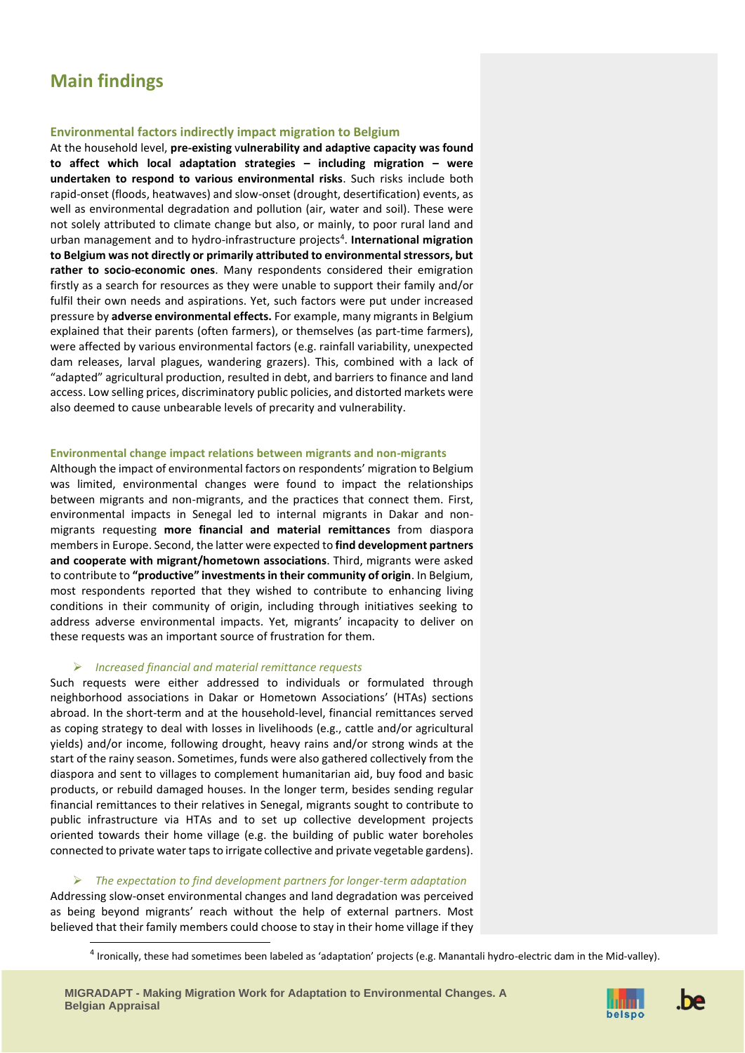## **Main findings**

#### **Environmental factors indirectly impact migration to Belgium**

At the household level, **pre-existing** v**ulnerability and adaptive capacity was found to affect which local adaptation strategies – including migration – were undertaken to respond to various environmental risks**. Such risks include both rapid-onset (floods, heatwaves) and slow-onset (drought, desertification) events, as well as environmental degradation and pollution (air, water and soil). These were not solely attributed to climate change but also, or mainly, to poor rural land and urban management and to hydro-infrastructure projects<sup>4</sup>. International migration **to Belgium was not directly or primarily attributed to environmental stressors, but rather to socio-economic ones**. Many respondents considered their emigration firstly as a search for resources as they were unable to support their family and/or fulfil their own needs and aspirations. Yet, such factors were put under increased pressure by **adverse environmental effects.** For example, many migrants in Belgium explained that their parents (often farmers), or themselves (as part-time farmers), were affected by various environmental factors (e.g. rainfall variability, unexpected dam releases, larval plagues, wandering grazers). This, combined with a lack of "adapted" agricultural production, resulted in debt, and barriers to finance and land access. Low selling prices, discriminatory public policies, and distorted markets were also deemed to cause unbearable levels of precarity and vulnerability.

#### **Environmental change impact relations between migrants and non-migrants**

Although the impact of environmental factors on respondents' migration to Belgium was limited, environmental changes were found to impact the relationships between migrants and non-migrants, and the practices that connect them. First, environmental impacts in Senegal led to internal migrants in Dakar and nonmigrants requesting **more financial and material remittances** from diaspora members in Europe. Second, the latter were expected to **find development partners and cooperate with migrant/hometown associations**. Third, migrants were asked to contribute to **"productive" investments in their community of origin**. In Belgium, most respondents reported that they wished to contribute to enhancing living conditions in their community of origin, including through initiatives seeking to address adverse environmental impacts. Yet, migrants' incapacity to deliver on these requests was an important source of frustration for them.

#### ➢ *Increased financial and material remittance requests*

Such requests were either addressed to individuals or formulated through neighborhood associations in Dakar or Hometown Associations' (HTAs) sections abroad. In the short-term and at the household-level, financial remittances served as coping strategy to deal with losses in livelihoods (e.g., cattle and/or agricultural yields) and/or income, following drought, heavy rains and/or strong winds at the start of the rainy season. Sometimes, funds were also gathered collectively from the diaspora and sent to villages to complement humanitarian aid, buy food and basic products, or rebuild damaged houses. In the longer term, besides sending regular financial remittances to their relatives in Senegal, migrants sought to contribute to public infrastructure via HTAs and to set up collective development projects oriented towards their home village (e.g. the building of public water boreholes connected to private water taps to irrigate collective and private vegetable gardens).

#### ➢ *The expectation to find development partners for longer-term adaptation*

Addressing slow-onset environmental changes and land degradation was perceived as being beyond migrants' reach without the help of external partners. Most believed that their family members could choose to stay in their home village if they

<sup>4</sup> Ironically, these had sometimes been labeled as 'adaptation' projects (e.g. Manantali hydro-electric dam in the Mid-valley).



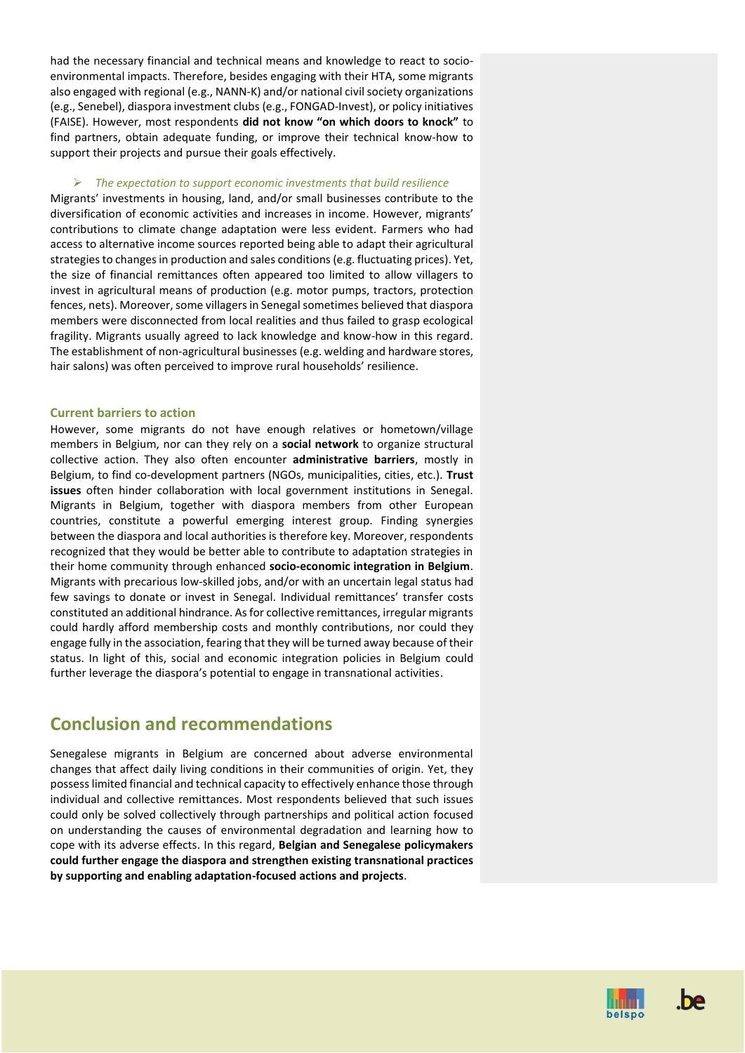had the necessary financial and technical means and knowledge to react to socioenvironmental impacts. Therefore, besides engaging with their HTA, some migrants also engaged with regional (e.g., NANN-K) and/or national civil society organizations (e.g., Senebel), diaspora investment clubs (e.g., FONGAD-Invest), or policy initiatives (FAISE). However, most respondents **did not know "on which doors to knock"** to find partners, obtain adequate funding, or improve their technical know-how to support their projects and pursue their goals effectively.

#### ➢ *The expectation to support economic investments that build resilience*

Migrants' investments in housing, land, and/or small businesses contribute to the diversification of economic activities and increases in income. However, migrants' contributions to climate change adaptation were less evident. Farmers who had access to alternative income sources reported being able to adapt their agricultural strategies to changes in production and sales conditions(e.g. fluctuating prices). Yet, the size of financial remittances often appeared too limited to allow villagers to invest in agricultural means of production (e.g. motor pumps, tractors, protection fences, nets). Moreover, some villagers in Senegal sometimes believed that diaspora members were disconnected from local realities and thus failed to grasp ecological fragility. Migrants usually agreed to lack knowledge and know-how in this regard. The establishment of non-agricultural businesses (e.g. welding and hardware stores, hair salons) was often perceived to improve rural households' resilience.

#### **Current barriers to action**

However, some migrants do not have enough relatives or hometown/village members in Belgium, nor can they rely on a **social network** to organize structural collective action. They also often encounter **administrative barriers**, mostly in Belgium, to find co-development partners (NGOs, municipalities, cities, etc.). **Trust issues** often hinder collaboration with local government institutions in Senegal. Migrants in Belgium, together with diaspora members from other European countries, constitute a powerful emerging interest group. Finding synergies between the diaspora and local authorities is therefore key. Moreover, respondents recognized that they would be better able to contribute to adaptation strategies in their home community through enhanced **socio-economic integration in Belgium**. Migrants with precarious low-skilled jobs, and/or with an uncertain legal status had few savings to donate or invest in Senegal. Individual remittances' transfer costs constituted an additional hindrance. As for collective remittances, irregular migrants could hardly afford membership costs and monthly contributions, nor could they engage fully in the association, fearing that they will be turned away because of their status. In light of this, social and economic integration policies in Belgium could further leverage the diaspora's potential to engage in transnational activities.

## **Conclusion and recommendations**

Senegalese migrants in Belgium are concerned about adverse environmental changes that affect daily living conditions in their communities of origin. Yet, they possesslimited financial and technical capacity to effectively enhance those through individual and collective remittances. Most respondents believed that such issues could only be solved collectively through partnerships and political action focused on understanding the causes of environmental degradation and learning how to cope with its adverse effects. In this regard, **Belgian and Senegalese policymakers could further engage the diaspora and strengthen existing transnational practices by supporting and enabling adaptation-focused actions and projects**.



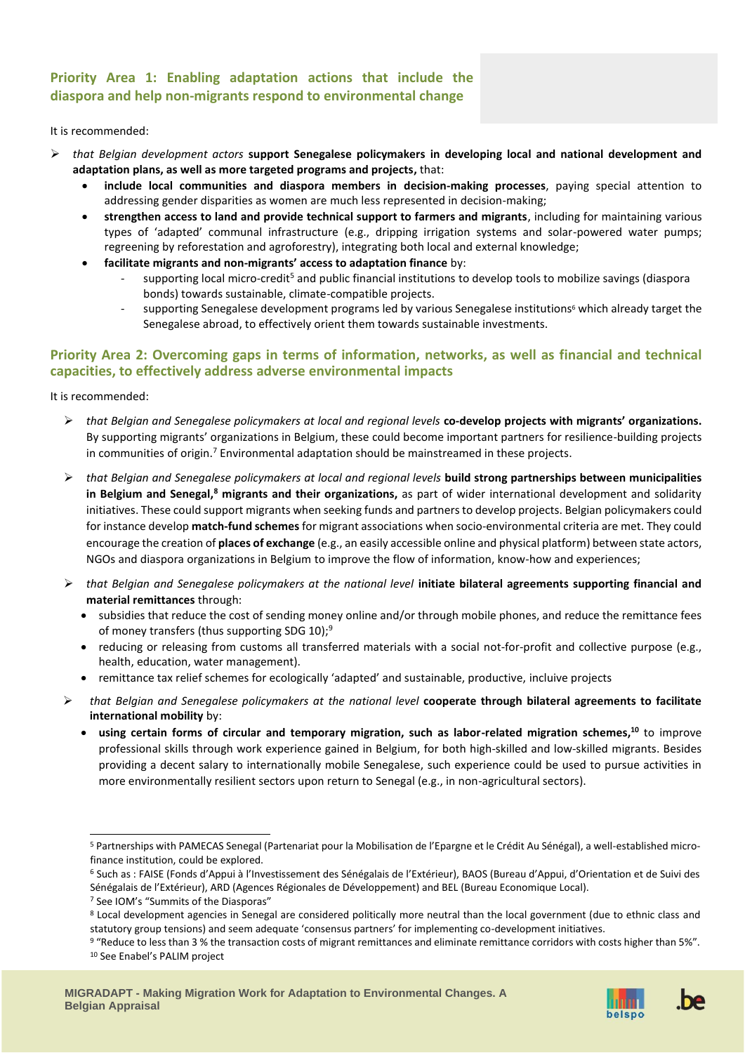### **Priority Area 1: Enabling adaptation actions that include the diaspora and help non-migrants respond to environmental change**

#### It is recommended:

- ➢ *that Belgian development actors* **support Senegalese policymakers in developing local and national development and adaptation plans, as well as more targeted programs and projects,** that:
	- **include local communities and diaspora members in decision-making processes**, paying special attention to addressing gender disparities as women are much less represented in decision-making;
	- **strengthen access to land and provide technical support to farmers and migrants**, including for maintaining various types of 'adapted' communal infrastructure (e.g., dripping irrigation systems and solar-powered water pumps; regreening by reforestation and agroforestry), integrating both local and external knowledge;
	- **facilitate migrants and non-migrants' access to adaptation finance** by:
		- supporting local micro-credit<sup>5</sup> and public financial institutions to develop tools to mobilize savings (diaspora bonds) towards sustainable, climate-compatible projects.
		- supporting Senegalese development programs led by various Senegalese institutions<sup>6</sup> which already target the Senegalese abroad, to effectively orient them towards sustainable investments.

#### **Priority Area 2: Overcoming gaps in terms of information, networks, as well as financial and technical capacities, to effectively address adverse environmental impacts**

It is recommended:

- ➢ *that Belgian and Senegalese policymakers at local and regional levels* **co-develop projects with migrants' organizations.** By supporting migrants' organizations in Belgium, these could become important partners for resilience-building projects in communities of origin.<sup>7</sup> Environmental adaptation should be mainstreamed in these projects.
- ➢ *that Belgian and Senegalese policymakers at local and regional levels* **build strong partnerships between municipalities in Belgium and Senegal,<sup>8</sup> migrants and their organizations,** as part of wider international development and solidarity initiatives. These could support migrants when seeking funds and partners to develop projects. Belgian policymakers could for instance develop **match-fund schemes** for migrant associations when socio-environmental criteria are met. They could encourage the creation of **places of exchange** (e.g., an easily accessible online and physical platform) between state actors, NGOs and diaspora organizations in Belgium to improve the flow of information, know-how and experiences;
- ➢ *that Belgian and Senegalese policymakers at the national level* **initiate bilateral agreements supporting financial and material remittances** through:
	- subsidies that reduce the cost of sending money online and/or through mobile phones, and reduce the remittance fees of money transfers (thus supporting SDG 10);<sup>9</sup>
	- reducing or releasing from customs all transferred materials with a social not-for-profit and collective purpose (e.g., health, education, water management).
	- remittance tax relief schemes for ecologically 'adapted' and sustainable, productive, incluive projects
- ➢ *that Belgian and Senegalese policymakers at the national level* **cooperate through bilateral agreements to facilitate international mobility** by:
	- **using certain forms of circular and temporary migration, such as labor-related migration schemes, <sup>10</sup>** to improve professional skills through work experience gained in Belgium, for both high-skilled and low-skilled migrants. Besides providing a decent salary to internationally mobile Senegalese, such experience could be used to pursue activities in more environmentally resilient sectors upon return to Senegal (e.g., in non-agricultural sectors).



<sup>5</sup> Partnerships with PAMECAS Senegal (Partenariat pour la Mobilisation de l'Epargne et le Crédit Au Sénégal), a well-established microfinance institution, could be explored.

<sup>6</sup> Such as : FAISE (Fonds d'Appui à l'Investissement des Sénégalais de l'Extérieur), BAOS (Bureau d'Appui, d'Orientation et de Suivi des Sénégalais de l'Extérieur), ARD (Agences Régionales de Développement) and BEL (Bureau Economique Local).

<sup>7</sup> See IOM's "Summits of the Diasporas"

<sup>8</sup> Local development agencies in Senegal are considered politically more neutral than the local government (due to ethnic class and statutory group tensions) and seem adequate 'consensus partners' for implementing co-development initiatives.

<sup>9</sup> "Reduce to less than 3 % the transaction costs of migrant remittances and eliminate remittance corridors with costs higher than 5%". <sup>10</sup> See Enabel's PALIM project